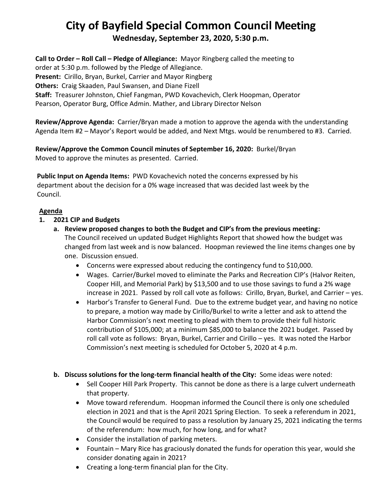## **City of Bayfield Special Common Council Meeting Wednesday, September 23, 2020, 5:30 p.m.**

 **Call to Order – Roll Call – Pledge of Allegiance:** Mayor Ringberg called the meeting to order at 5:30 p.m. followed by the Pledge of Allegiance.  **Present:** Cirillo, Bryan, Burkel, Carrier and Mayor Ringberg **Others:** Craig Skaaden, Paul Swansen, and Diane Fizell  **Staff:** Treasurer Johnston, Chief Fangman, PWD Kovachevich, Clerk Hoopman, Operator Pearson, Operator Burg, Office Admin. Mather, and Library Director Nelson

 **Review/Approve Agenda:** Carrier/Bryan made a motion to approve the agenda with the understanding Agenda Item #2 – Mayor's Report would be added, and Next Mtgs. would be renumbered to #3. Carried.

 **Review/Approve the Common Council minutes of September 16, 2020:** Burkel/Bryan Moved to approve the minutes as presented. Carried.

 **Public Input on Agenda Items:** PWD Kovachevich noted the concerns expressed by his department about the decision for a 0% wage increased that was decided last week by the Council.

## **Agenda**

## **1. 2021 CIP and Budgets**

- **a. Review proposed changes to both the Budget and CIP's from the previous meeting:** The Council received un updated Budget Highlights Report that showed how the budget was changed from last week and is now balanced. Hoopman reviewed the line items changes one by one. Discussion ensued.
	- Concerns were expressed about reducing the contingency fund to \$10,000.
	- Wages. Carrier/Burkel moved to eliminate the Parks and Recreation CIP's (Halvor Reiten, Cooper Hill, and Memorial Park) by \$13,500 and to use those savings to fund a 2% wage increase in 2021. Passed by roll call vote as follows: Cirillo, Bryan, Burkel, and Carrier – yes.
	- Harbor's Transfer to General Fund. Due to the extreme budget year, and having no notice to prepare, a motion way made by Cirillo/Burkel to write a letter and ask to attend the Harbor Commission's next meeting to plead with them to provide their full historic contribution of \$105,000; at a minimum \$85,000 to balance the 2021 budget. Passed by roll call vote as follows: Bryan, Burkel, Carrier and Cirillo – yes. It was noted the Harbor Commission's next meeting is scheduled for October 5, 2020 at 4 p.m.

## **b. Discuss solutions for the long-term financial health of the City:** Some ideas were noted:

- Sell Cooper Hill Park Property. This cannot be done as there is a large culvert underneath that property.
- Move toward referendum. Hoopman informed the Council there is only one scheduled election in 2021 and that is the April 2021 Spring Election. To seek a referendum in 2021, the Council would be required to pass a resolution by January 25, 2021 indicating the terms of the referendum: how much, for how long, and for what?
- Consider the installation of parking meters.
- Fountain Mary Rice has graciously donated the funds for operation this year, would she consider donating again in 2021?
- Creating a long-term financial plan for the City.